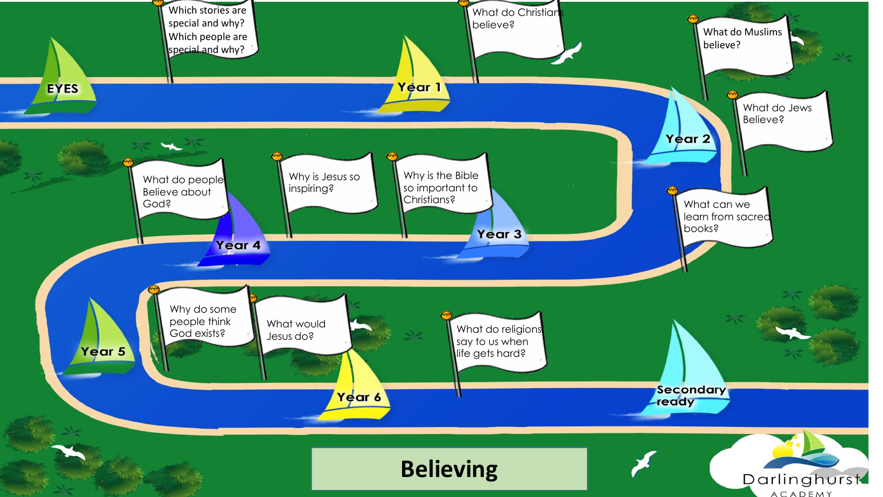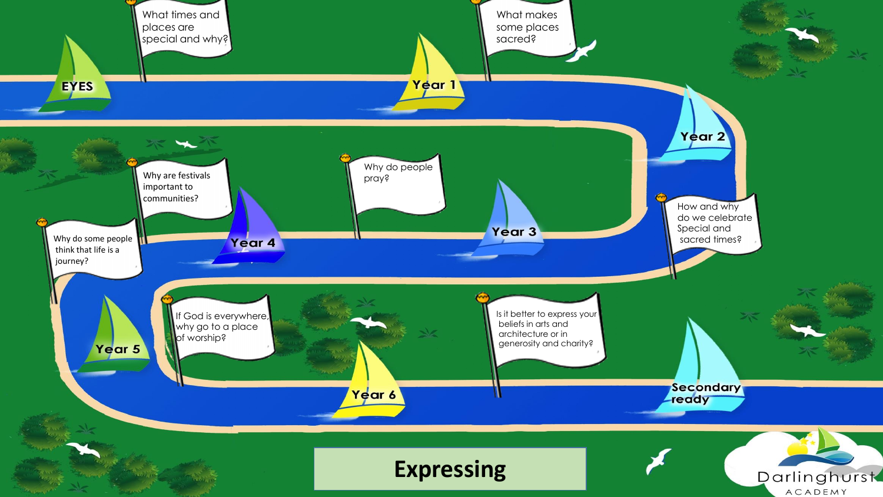